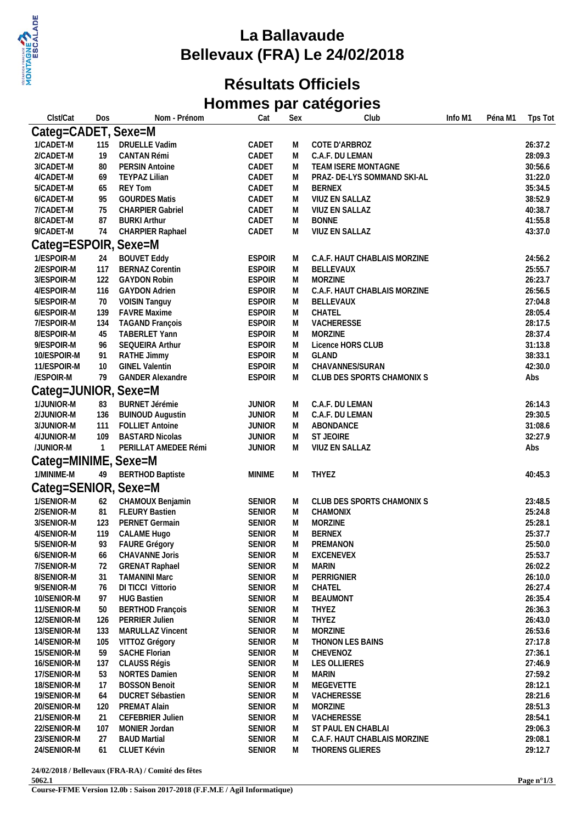

## **La Ballavaude Bellevaux (FRA) Le 24/02/2018**

## **Résultats Officiels Hommes par catégories**

| Clst/Cat                 | Dos            | Nom - Prénom                                  | Cat                            | Sex    | Club                         | Info M1 | Péna M1 | Tps Tot            |
|--------------------------|----------------|-----------------------------------------------|--------------------------------|--------|------------------------------|---------|---------|--------------------|
| Categ=CADET, Sexe=M      |                |                                               |                                |        |                              |         |         |                    |
| 1/CADET-M                | 115            | <b>DRUELLE Vadim</b>                          | CADET                          | M      | COTE D'ARBROZ                |         |         | 26:37.2            |
| 2/CADET-M                | 19             | CANTAN Rémi                                   | CADET                          | M      | C.A.F. DU LEMAN              |         |         | 28:09.3            |
| 3/CADET-M                | 80             | <b>PERSIN Antoine</b>                         | CADET                          | M      | TEAM ISERE MONTAGNE          |         |         | 30:56.6            |
| 4/CADET-M                | 69             | <b>TEYPAZ Lilian</b>                          | CADET                          | M      | PRAZ- DE-LYS SOMMAND SKI-AL  |         |         | 31:22.0            |
| 5/CADET-M                | 65             | <b>REY Tom</b>                                | CADET                          | M      | <b>BERNEX</b>                |         |         | 35:34.5            |
| 6/CADET-M                | 95             | <b>GOURDES Matis</b>                          | CADET                          | M      | VIUZ EN SALLAZ               |         |         | 38:52.9            |
| 7/CADET-M                | 75             | <b>CHARPIER Gabriel</b>                       | CADET                          | M      | VIUZ EN SALLAZ               |         |         | 40:38.7            |
| 8/CADET-M                | 87             | <b>BURKI Arthur</b>                           | CADET                          | M      | <b>BONNE</b>                 |         |         | 41:55.8            |
| 9/CADET-M                | 74             | CHARPIER Raphael                              | CADET                          | M      | VIUZ EN SALLAZ               |         |         | 43:37.0            |
| Categ=ESPOIR, Sexe=M     |                |                                               |                                |        |                              |         |         |                    |
|                          |                |                                               |                                |        |                              |         |         |                    |
| 1/ESPOIR-M               | 24             | <b>BOUVET Eddy</b>                            | <b>ESPOIR</b>                  | M      | C.A.F. HAUT CHABLAIS MORZINE |         |         | 24:56.2<br>25:55.7 |
| 2/ESPOIR-M<br>3/ESPOIR-M | 117            | <b>BERNAZ Corentin</b><br><b>GAYDON Robin</b> | <b>ESPOIR</b><br><b>ESPOIR</b> | M      | BELLEVAUX<br><b>MORZINE</b>  |         |         | 26:23.7            |
| 4/ESPOIR-M               | 122<br>116     |                                               | <b>ESPOIR</b>                  | M      | C.A.F. HAUT CHABLAIS MORZINE |         |         | 26:56.5            |
|                          |                | <b>GAYDON Adrien</b>                          | <b>ESPOIR</b>                  | M      |                              |         |         |                    |
| 5/ESPOIR-M<br>6/ESPOIR-M | 70             | <b>VOISIN Tanguy</b><br><b>FAVRE Maxime</b>   | <b>ESPOIR</b>                  | M      | BELLEVAUX                    |         |         | 27:04.8<br>28:05.4 |
| 7/ESPOIR-M               | 139            | <b>TAGAND François</b>                        | <b>ESPOIR</b>                  | M      | CHATEL<br>VACHERESSE         |         |         | 28:17.5            |
| 8/ESPOIR-M               | 134<br>45      | TABERLET Yann                                 | <b>ESPOIR</b>                  | M<br>M | MORZINE                      |         |         | 28:37.4            |
| 9/ESPOIR-M               | 96             | SEQUEIRA Arthur                               | <b>ESPOIR</b>                  | M      | Licence HORS CLUB            |         |         | 31:13.8            |
| 10/ESPOIR-M              | 91             | RATHE Jimmy                                   | <b>ESPOIR</b>                  | M      | GLAND                        |         |         | 38:33.1            |
| 11/ESPOIR-M              | 10             | <b>GINEL Valentin</b>                         | <b>ESPOIR</b>                  | M      | CHAVANNES/SURAN              |         |         | 42:30.0            |
| /ESPOIR-M                | 79             | <b>GANDER Alexandre</b>                       | <b>ESPOIR</b>                  | M      | CLUB DES SPORTS CHAMONIX S   |         |         | Abs                |
|                          |                |                                               |                                |        |                              |         |         |                    |
| Categ=JUNIOR, Sexe=M     |                |                                               |                                |        |                              |         |         |                    |
| 1/JUNIOR-M               | 83             | <b>BURNET Jérémie</b>                         | <b>JUNIOR</b>                  | M      | C.A.F. DU LEMAN              |         |         | 26:14.3            |
| 2/JUNIOR-M               | 136            | <b>BUINOUD Augustin</b>                       | <b>JUNIOR</b>                  | M      | C.A.F. DU LEMAN              |         |         | 29:30.5            |
| 3/JUNIOR-M               | 111            | <b>FOLLIET Antoine</b>                        | <b>JUNIOR</b>                  | M      | ABONDANCE                    |         |         | 31:08.6            |
| 4/JUNIOR-M               | 109            | <b>BASTARD Nicolas</b>                        | <b>JUNIOR</b>                  | M      | ST JEOIRE                    |         |         | 32:27.9            |
| /JUNIOR-M                | $\overline{1}$ | PERILLAT AMEDEE Rémi                          | <b>JUNIOR</b>                  | M      | VIUZ EN SALLAZ               |         |         | Abs                |
| Categ=MINIME, Sexe=M     |                |                                               |                                |        |                              |         |         |                    |
| 1/MINIME-M               | 49             | <b>BERTHOD Baptiste</b>                       | <b>MINIME</b>                  | M      | THYEZ                        |         |         | 40:45.3            |
| Categ=SENIOR, Sexe=M     |                |                                               |                                |        |                              |         |         |                    |
| 1/SENIOR-M               | 62             | CHAMOUX Benjamin                              | SENIOR                         | M      | CLUB DES SPORTS CHAMONIX S   |         |         | 23:48.5            |
| 2/SENIOR-M               | 81             | <b>FLEURY Bastien</b>                         | SENIOR                         | M      | CHAMONIX                     |         |         | 25:24.8            |
| 3/SENIOR-M               | 123            | PERNET Germain                                | SENIOR                         | M      | <b>MORZINE</b>               |         |         | 25:28.1            |
| 4/SENIOR-M               | 119            | CALAME Hugo                                   | <b>SENIOR</b>                  | М      | <b>BERNEX</b>                |         |         | 25:37.7            |
| 5/SENIOR-M               | 93             | FAURE Grégory                                 | <b>SENIOR</b>                  | М      | PREMANON                     |         |         | 25:50.0            |
| 6/SENIOR-M               | 66             | CHAVANNE Joris                                | <b>SENIOR</b>                  | M      | EXCENEVEX                    |         |         | 25:53.7            |
| 7/SENIOR-M               | 72             | <b>GRENAT Raphael</b>                         | <b>SENIOR</b>                  | M      | <b>MARIN</b>                 |         |         | 26:02.2            |
| 8/SENIOR-M               | 31             | <b>TAMANINI Marc</b>                          | <b>SENIOR</b>                  | М      | PERRIGNIER                   |         |         | 26:10.0            |
| 9/SENIOR-M               | 76             | DI TICCI Vittorio                             | <b>SENIOR</b>                  | M      | CHATEL                       |         |         | 26:27.4            |
| 10/SENIOR-M              | 97             | <b>HUG Bastien</b>                            | <b>SENIOR</b>                  | М      | <b>BEAUMONT</b>              |         |         | 26:35.4            |
| 11/SENIOR-M              | 50             | <b>BERTHOD François</b>                       | <b>SENIOR</b>                  | M      | THYEZ                        |         |         | 26:36.3            |
| 12/SENIOR-M              | 126            | <b>PERRIER Julien</b>                         | <b>SENIOR</b>                  | M      | THYEZ                        |         |         | 26:43.0            |
| 13/SENIOR-M              | 133            | <b>MARULLAZ Vincent</b>                       | <b>SENIOR</b>                  | M      | <b>MORZINE</b>               |         |         | 26:53.6            |
| 14/SENIOR-M              | 105            | VITTOZ Grégory                                | <b>SENIOR</b>                  | M      | <b>THONON LES BAINS</b>      |         |         | 27:17.8            |
| 15/SENIOR-M              | 59             | <b>SACHE Florian</b>                          | <b>SENIOR</b>                  | M      | CHEVENOZ                     |         |         | 27:36.1            |
| 16/SENIOR-M              | 137            | CLAUSS Régis                                  | <b>SENIOR</b>                  | M      | LES OLLIERES                 |         |         | 27:46.9            |
| 17/SENIOR-M              | 53             | <b>NORTES Damien</b>                          | <b>SENIOR</b>                  | M      | <b>MARIN</b>                 |         |         | 27:59.2            |
| 18/SENIOR-M              | 17             | <b>BOSSON Benoit</b>                          | <b>SENIOR</b>                  | M      | MEGEVETTE                    |         |         | 28:12.1            |
| 19/SENIOR-M              | 64             | DUCRET Sébastien                              | <b>SENIOR</b>                  | M      | VACHERESSE                   |         |         | 28:21.6            |
| 20/SENIOR-M              | 120            | <b>PREMAT Alain</b>                           | <b>SENIOR</b>                  | М      | MORZINE                      |         |         | 28:51.3            |
| 21/SENIOR-M              | 21             | CEFEBRIER Julien                              | <b>SENIOR</b>                  | M      | VACHERESSE                   |         |         | 28:54.1            |
| 22/SENIOR-M              | 107            | MONIER Jordan                                 | <b>SENIOR</b>                  | M      | ST PAUL EN CHABLAI           |         |         | 29:06.3            |
| 23/SENIOR-M              | 27             | <b>BAUD Martial</b>                           | <b>SENIOR</b>                  | M      | C.A.F. HAUT CHABLAIS MORZINE |         |         | 29:08.1            |
| 24/SENIOR-M              | 61             | CLUET Kévin                                   | <b>SENIOR</b>                  | M      | THORENS GLIERES              |         |         | 29:12.7            |
|                          |                |                                               |                                |        |                              |         |         |                    |

**24/02/2018 / Bellevaux (FRA-RA) / Comité des fêtes 5062.1**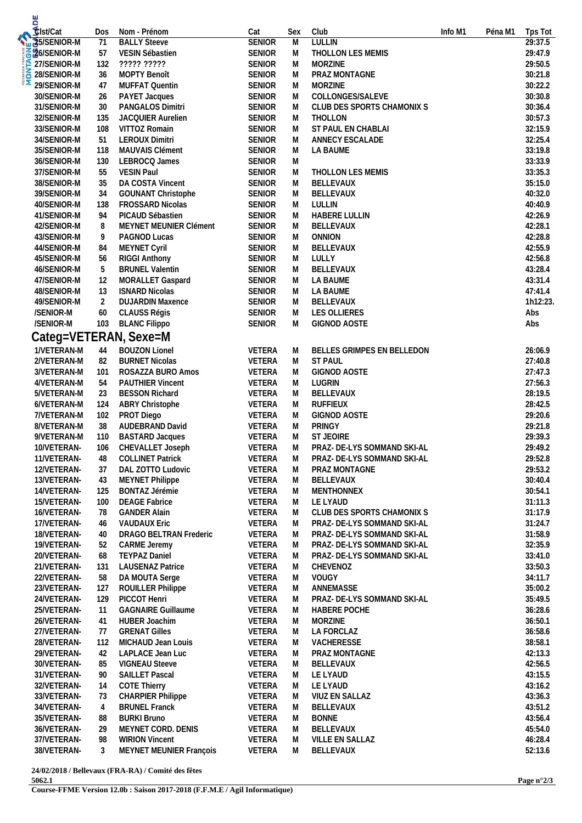| u<br>Cist/Cat                                |                |                                                |                                |        |                             |         |         |                    |
|----------------------------------------------|----------------|------------------------------------------------|--------------------------------|--------|-----------------------------|---------|---------|--------------------|
|                                              | Dos            | Nom - Prénom                                   | Cat                            | Sex    | Club                        | Info M1 | Péna M1 | Tps Tot            |
| SISENIOR-M                                   | 71             | <b>BALLY Steeve</b>                            | <b>SENIOR</b>                  | M      | <b>LULLIN</b>               |         |         | 29:37.5            |
| <b>626/SENIOR-M</b>                          | 57             | VESIN Sébastien                                | <b>SENIOR</b>                  | M      | THOLLON LES MEMIS           |         |         | 29:47.9            |
| <b>E 27/SENIOR-M</b><br><b>E 28/SENIOR-M</b> | 132            | ????? ?????                                    | <b>SENIOR</b>                  | М      | <b>MORZINE</b>              |         |         | 29:50.5            |
|                                              | 36             | MOPTY Benoît                                   | <b>SENIOR</b>                  | М      | PRAZ MONTAGNE               |         |         | 30:21.8            |
| 29/SENIOR-M                                  | 47             | <b>MUFFAT Quentin</b>                          | <b>SENIOR</b>                  | М      | <b>MORZINE</b>              |         |         | 30:22.2            |
| 30/SENIOR-M                                  | 26             | PAYET Jacques                                  | <b>SENIOR</b>                  | M      | COLLONGES/SALEVE            |         |         | 30:30.8            |
| 31/SENIOR-M                                  | $30\,$         | PANGALOS Dimitri                               | <b>SENIOR</b>                  | М      | CLUB DES SPORTS CHAMONIX S  |         |         | 30:36.4            |
| 32/SENIOR-M                                  | 135            | <b>JACQUIER Aurelien</b>                       | <b>SENIOR</b>                  | M      | THOLLON                     |         |         | 30:57.3            |
| 33/SENIOR-M                                  | 108            | VITTOZ Romain                                  | <b>SENIOR</b>                  | M      | ST PAUL EN CHABLAI          |         |         | 32:15.9            |
| 34/SENIOR-M                                  | 51             | <b>LEROUX Dimitri</b>                          | <b>SENIOR</b>                  | М      | ANNECY ESCALADE             |         |         | 32:25.4            |
| 35/SENIOR-M                                  | 118            | MAUVAIS Clément                                | <b>SENIOR</b>                  | М      | LA BAUME                    |         |         | 33:19.8            |
| 36/SENIOR-M                                  | 130            | LEBROCQ James                                  | <b>SENIOR</b>                  | M      |                             |         |         | 33:33.9            |
| 37/SENIOR-M                                  | 55             | <b>VESIN Paul</b>                              | SENIOR                         | M      | THOLLON LES MEMIS           |         |         | 33:35.3            |
| 38/SENIOR-M                                  | 35             | DA COSTA Vincent                               | <b>SENIOR</b>                  | М      | BELLEVAUX                   |         |         | 35:15.0            |
| 39/SENIOR-M                                  | 34             | <b>GOUNANT Christophe</b>                      | <b>SENIOR</b>                  | M      | BELLEVAUX                   |         |         | 40:32.0            |
| 40/SENIOR-M                                  | 138            | FROSSARD Nicolas                               | <b>SENIOR</b>                  | М      | LULLIN                      |         |         | 40:40.9            |
| 41/SENIOR-M                                  | 94             | PICAUD Sébastien                               | <b>SENIOR</b>                  | М      | <b>HABERE LULLIN</b>        |         |         | 42:26.9            |
| 42/SENIOR-M                                  | 8              | MEYNET MEUNIER Clément                         | <b>SENIOR</b>                  | М      | BELLEVAUX                   |         |         | 42:28.1            |
| 43/SENIOR-M                                  | 9              | PAGNOD Lucas                                   | <b>SENIOR</b>                  | М      | <b>ONNION</b>               |         |         | 42:28.8            |
| 44/SENIOR-M                                  | 84             | MEYNET Cyril                                   | <b>SENIOR</b>                  | М      | BELLEVAUX                   |         |         | 42:55.9            |
| 45/SENIOR-M                                  | 56             | <b>RIGGI Anthony</b><br><b>BRUNEL Valentin</b> | <b>SENIOR</b>                  | M      | LULLY<br>BELLEVAUX          |         |         | 42:56.8<br>43:28.4 |
| 46/SENIOR-M                                  | 5              |                                                | <b>SENIOR</b>                  | М      |                             |         |         | 43:31.4            |
| 47/SENIOR-M                                  | 12             | MORALLET Gaspard<br><b>ISNARD Nicolas</b>      | <b>SENIOR</b>                  | M      | LA BAUME                    |         |         | 47:41.4            |
| 48/SENIOR-M<br>49/SENIOR-M                   | 13<br>2        | <b>DUJARDIN Maxence</b>                        | <b>SENIOR</b><br><b>SENIOR</b> | M<br>M | LA BAUME                    |         |         | 1h12:23.           |
| /SENIOR-M                                    | 60             | CLAUSS Régis                                   | <b>SENIOR</b>                  | M      | BELLEVAUX<br>LES OLLIERES   |         |         | Abs                |
| /SENIOR-M                                    | 103            | <b>BLANC Filippo</b>                           | <b>SENIOR</b>                  | М      | <b>GIGNOD AOSTE</b>         |         |         | Abs                |
|                                              |                |                                                |                                |        |                             |         |         |                    |
|                                              |                | Categ=VETERAN, Sexe=M                          |                                |        |                             |         |         |                    |
| 1/VETERAN-M                                  | 44             | <b>BOUZON Lionel</b>                           | VETERA                         | M      | BELLES GRIMPES EN BELLEDON  |         |         | 26:06.9            |
| 2/VETERAN-M                                  | 82             | <b>BURNET Nicolas</b>                          | VETERA                         | M      | <b>ST PAUL</b>              |         |         | 27:40.8            |
| 3/VETERAN-M                                  | 101            | ROSAZZA BURO Amos                              | VETERA                         | M      | <b>GIGNOD AOSTE</b>         |         |         | 27:47.3            |
| 4/VETERAN-M                                  | 54             | PAUTHIER Vincent                               | VETERA                         | M      | LUGRIN                      |         |         | 27:56.3            |
| 5/VETERAN-M                                  | 23             | <b>BESSON Richard</b>                          | VETERA                         | M      | BELLEVAUX                   |         |         | 28:19.5            |
| 6/VETERAN-M                                  | 124            | ABRY Christophe                                | VETERA                         | M      | <b>RUFFIEUX</b>             |         |         | 28:42.5            |
| 7/VETERAN-M                                  | 102            | PROT Diego                                     | VETERA                         | M      | GIGNOD AOSTE                |         |         | 29:20.6            |
| 8/VETERAN-M                                  | 38             | AUDEBRAND David                                | VETERA                         | M      | PRINGY                      |         |         | 29:21.8            |
| 9/VETERAN-M                                  | 110            | <b>BASTARD Jacques</b>                         | VETERA                         | M      | ST JEOIRE                   |         |         | 29:39.3            |
| 10/VETERAN-                                  | 106            | CHEVALLET Joseph                               | VETERA                         | M      | PRAZ- DE-LYS SOMMAND SKI-AL |         |         | 29:49.2            |
| 11/VETERAN-                                  | 48             | <b>COLLINET Patrick</b>                        | VETERA                         | M      | PRAZ- DE-LYS SOMMAND SKI-AL |         |         | 29:52.8            |
| 12/VETERAN-                                  | 37             | DAL ZOTTO Ludovic                              | VETERA                         | M      | PRAZ MONTAGNE               |         |         | 29:53.2            |
| 13/VETERAN-                                  | 43             | <b>MEYNET Philippe</b>                         | VETERA                         | M      | BELLEVAUX                   |         |         | 30:40.4            |
| 14/VETERAN-                                  | 125            | BONTAZ Jérémie                                 | VETERA                         | M      | MENTHONNEX                  |         |         | 30:54.1            |
| 15/VETERAN-                                  | 100            | <b>DEAGE Fabrice</b>                           | VETERA                         | M      | LE LYAUD                    |         |         | 31:11.3            |
| 16/VETERAN-                                  | 78             | <b>GANDER Alain</b>                            | VETERA                         | M      | CLUB DES SPORTS CHAMONIX S  |         |         | 31:17.9            |
| 17/VETERAN-                                  | 46             | <b>VAUDAUX Eric</b>                            | VETERA                         | M      | PRAZ- DE-LYS SOMMAND SKI-AL |         |         | 31:24.7            |
| 18/VETERAN-                                  | 40             | DRAGO BELTRAN Frederic                         | VETERA                         | M      | PRAZ- DE-LYS SOMMAND SKI-AL |         |         | 31:58.9            |
| 19/VETERAN-                                  | 52             | <b>CARME Jeremy</b>                            | VETERA                         | M      | PRAZ- DE-LYS SOMMAND SKI-AL |         |         | 32:35.9            |
| 20/VETERAN-                                  | 68             | <b>TEYPAZ Daniel</b>                           | VETERA                         | M      | PRAZ- DE-LYS SOMMAND SKI-AL |         |         | 33:41.0            |
| 21/VETERAN-                                  | 131            | <b>LAUSENAZ Patrice</b>                        | VETERA                         | M      | CHEVENOZ                    |         |         | 33:50.3            |
| 22/VETERAN-                                  | 58             | DA MOUTA Serge                                 | VETERA                         | M      | <b>VOUGY</b>                |         |         | 34:11.7            |
| 23/VETERAN-                                  | 127            | ROUILLER Philippe                              | VETERA                         | M      | ANNEMASSE                   |         |         | 35:00.2            |
| 24/VETERAN-                                  | 129            | PICCOT Henri                                   | VETERA                         | M      | PRAZ- DE-LYS SOMMAND SKI-AL |         |         | 35:49.5            |
| 25/VETERAN-                                  | 11             | <b>GAGNAIRE Guillaume</b>                      | VETERA                         | M      | <b>HABERE POCHE</b>         |         |         | 36:28.6            |
| 26/VETERAN-                                  | 41             | HUBER Joachim                                  | VETERA                         | M      | <b>MORZINE</b>              |         |         | 36:50.1            |
| 27/VETERAN-                                  | 77             | <b>GRENAT Gilles</b>                           | VETERA                         | M      | LA FORCLAZ                  |         |         | 36:58.6            |
| 28/VETERAN-<br>29/VETERAN-                   | 112<br>42      | MICHAUD Jean Louis<br>LAPLACE Jean Luc         | VETERA<br>VETERA               | M      | VACHERESSE                  |         |         | 38:58.1<br>42:13.3 |
| 30/VETERAN-                                  | 85             | <b>VIGNEAU Steeve</b>                          | VETERA                         | M      | PRAZ MONTAGNE               |         |         | 42:56.5            |
|                                              | 90             | <b>SAILLET Pascal</b>                          | VETERA                         | M<br>M | BELLEVAUX<br>LE LYAUD       |         |         | 43:15.5            |
| 31/VETERAN-<br>32/VETERAN-                   | 14             | <b>COTE Thierry</b>                            | VETERA                         | M      | LE LYAUD                    |         |         | 43:16.2            |
| 33/VETERAN-                                  | 73             | <b>CHARPIER Philippe</b>                       | VETERA                         |        | VIUZ EN SALLAZ              |         |         | 43:36.3            |
| 34/VETERAN-                                  | $\overline{4}$ | <b>BRUNEL Franck</b>                           | VETERA                         | M<br>M | BELLEVAUX                   |         |         | 43:51.2            |
| 35/VETERAN-                                  | 88             | <b>BURKI Bruno</b>                             | VETERA                         | M      | <b>BONNE</b>                |         |         | 43:56.4            |
| 36/VETERAN-                                  | 29             | MEYNET CORD. DENIS                             | VETERA                         | M      | BELLEVAUX                   |         |         | 45:54.0            |
| 37/VETERAN-                                  | 98             | <b>WIRION Vincent</b>                          | VETERA                         | M      | VILLE EN SALLAZ             |         |         | 46:28.4            |
| 38/VETERAN-                                  | 3              | MEYNET MEUNIER François                        | VETERA                         | M      | BELLEVAUX                   |         |         | 52:13.6            |
|                                              |                |                                                |                                |        |                             |         |         |                    |

**24/02/2018 / Bellevaux (FRA-RA) / Comité des fêtes 5062.1**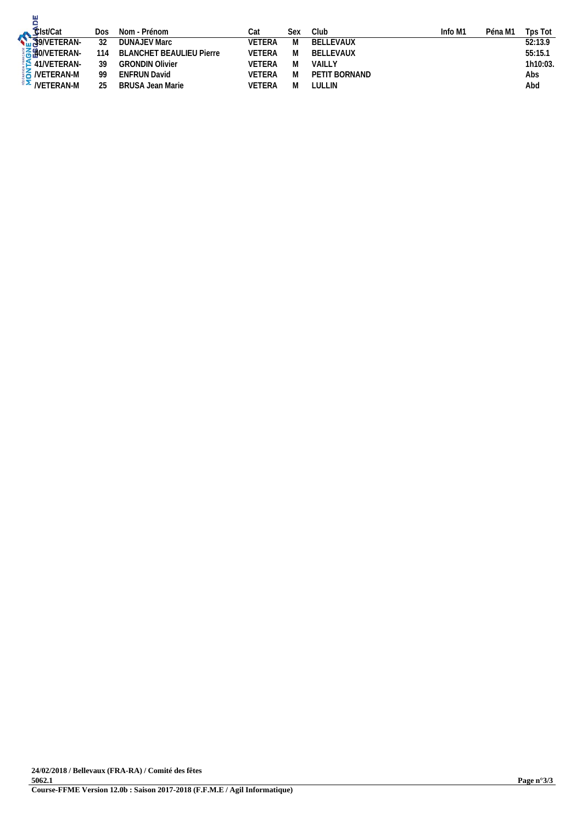| Elst/Cat<br>S9/VETERAN- | Dos | Nom - Prénom                    | Cat           | Sex | Club          | Info M1 | Péna M1 | Tps Tot  |
|-------------------------|-----|---------------------------------|---------------|-----|---------------|---------|---------|----------|
|                         | 32  | <b>DUNAJEV Marc</b>             | VETERA        | M   | BELLEVAUX     |         |         | 52:13.9  |
| <b>3620/VETERAN-</b>    | 114 | <b>BLANCHET BEAULIEU Pierre</b> | VETERA        | M   | BELLEVAUX     |         |         | 55:15.1  |
| 41/NETERAN              | 39  | <b>GRONDIN Olivier</b>          | <b>VETERA</b> | M   | VAILLY        |         |         | 1h10:03. |
| $\frac{1}{2}$ NETERAN-M | 99  | <b>ENFRUN David</b>             | <b>VETERA</b> | M   | PETIT BORNAND |         |         | Abs      |
| $\frac{2}{3}$ NETERAN-M | 25  | <b>BRUSA Jean Marie</b>         | VETERA        | M   | LULLIN        |         |         | Abd      |
|                         |     |                                 |               |     |               |         |         |          |